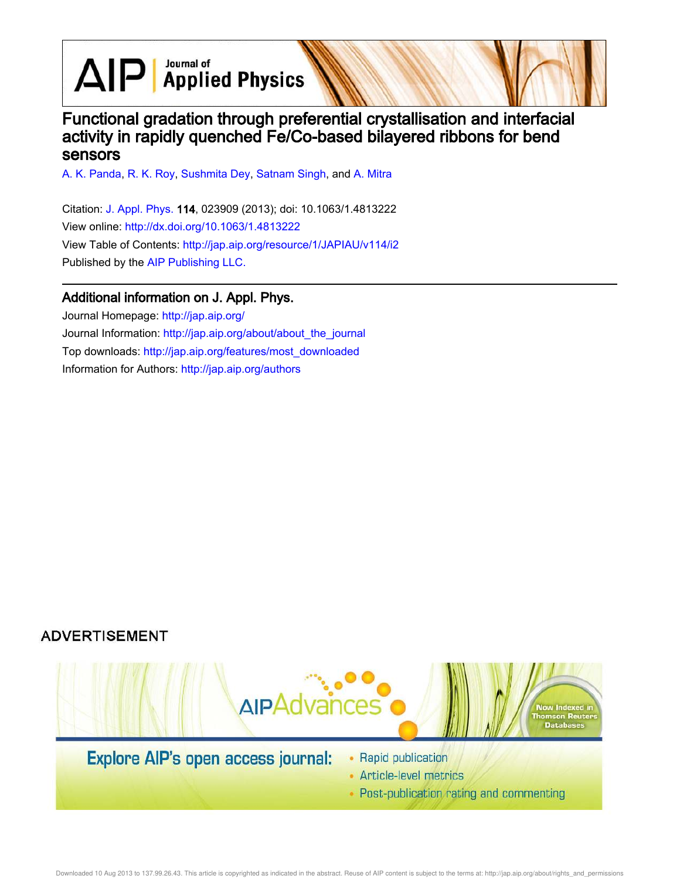$\text{AlP}$  Applied Physics

# Functional gradation through preferential crystallisation and interfacial activity in rapidly quenched Fe/Co-based bilayered ribbons for bend sensors

A. K. Panda, R. K. Roy, Sushmita Dey, Satnam Singh, and A. Mitra

Citation: J. Appl. Phys. 114, 023909 (2013); doi: 10.1063/1.4813222 View online: http://dx.doi.org/10.1063/1.4813222 View Table of Contents: http://jap.aip.org/resource/1/JAPIAU/v114/i2 Published by the AIP Publishing LLC.

### Additional information on J. Appl. Phys.

Journal Homepage: http://jap.aip.org/ Journal Information: http://jap.aip.org/about/about\_the\_journal Top downloads: http://jap.aip.org/features/most\_downloaded Information for Authors: http://jap.aip.org/authors

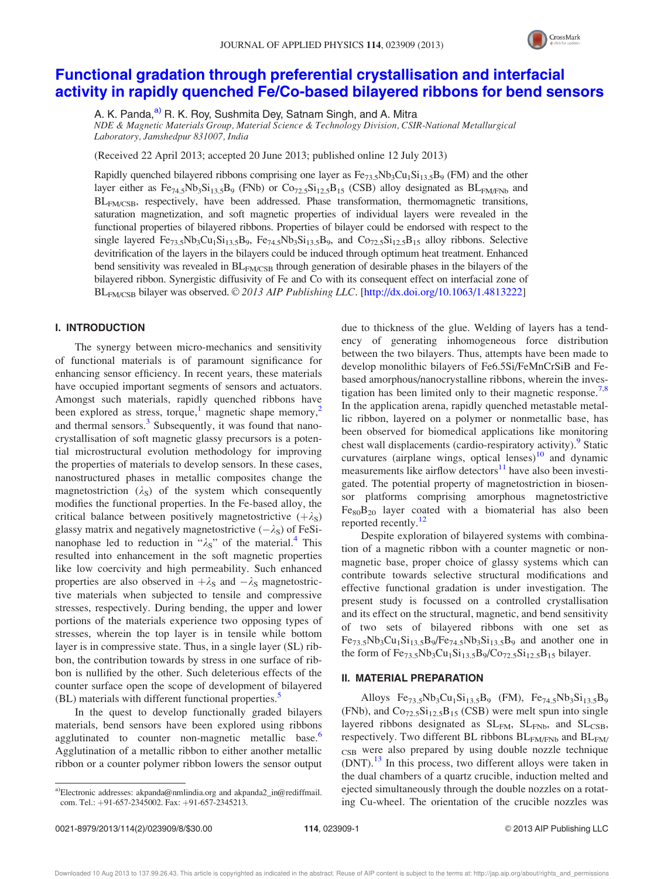

## Functional gradation through preferential crystallisation and interfacial activity in rapidly quenched Fe/Co-based bilayered ribbons for bend sensors

A. K. Panda, <sup>a)</sup> R. K. Roy, Sushmita Dey, Satnam Singh, and A. Mitra

NDE & Magnetic Materials Group, Material Science & Technology Division, CSIR-National Metallurgical Laboratory, Jamshedpur 831007, India

(Received 22 April 2013; accepted 20 June 2013; published online 12 July 2013)

Rapidly quenched bilayered ribbons comprising one layer as  $Fe_{73.5}Nb_3Cu_1Si_{13.5}B_9$  (FM) and the other layer either as  $Fe_{74.5}Nb_3Si_{13.5}B_9$  (FNb) or  $Co_{72.5}Si_{12.5}B_{15}$  (CSB) alloy designated as  $BL_{FM/FNb}$  and BL<sub>FM/CSB</sub>, respectively, have been addressed. Phase transformation, thermomagnetic transitions, saturation magnetization, and soft magnetic properties of individual layers were revealed in the functional properties of bilayered ribbons. Properties of bilayer could be endorsed with respect to the single layered  $Fe_{73.5}Nb_3Cu_1Si_{13.5}B_9$ ,  $Fe_{74.5}Nb_3Si_{13.5}B_9$ , and  $Co_{72.5}Si_{12.5}B_{15}$  alloy ribbons. Selective devitrification of the layers in the bilayers could be induced through optimum heat treatment. Enhanced bend sensitivity was revealed in BL<sub>FM/CSB</sub> through generation of desirable phases in the bilayers of the bilayered ribbon. Synergistic diffusivity of Fe and Co with its consequent effect on interfacial zone of BL<sub>FM/CSB</sub> bilayer was observed. © 2013 AIP Publishing LLC. [http://dx.doi.org/10.1063/1.4813222]

### I. INTRODUCTION

The synergy between micro-mechanics and sensitivity of functional materials is of paramount significance for enhancing sensor efficiency. In recent years, these materials have occupied important segments of sensors and actuators. Amongst such materials, rapidly quenched ribbons have been explored as stress, torque,<sup>1</sup> magnetic shape memory,<sup>2</sup> and thermal sensors.<sup>3</sup> Subsequently, it was found that nanocrystallisation of soft magnetic glassy precursors is a potential microstructural evolution methodology for improving the properties of materials to develop sensors. In these cases, nanostructured phases in metallic composites change the magnetostriction  $(\lambda_s)$  of the system which consequently modifies the functional properties. In the Fe-based alloy, the critical balance between positively magnetostrictive  $(+\lambda<sub>S</sub>)$ glassy matrix and negatively magnetostrictive  $(-\lambda_s)$  of FeSinanophase led to reduction in " $\lambda$ <sub>S</sub>" of the material.<sup>4</sup> This resulted into enhancement in the soft magnetic properties like low coercivity and high permeability. Such enhanced properties are also observed in  $+\lambda_s$  and  $-\lambda_s$  magnetostrictive materials when subjected to tensile and compressive stresses, respectively. During bending, the upper and lower portions of the materials experience two opposing types of stresses, wherein the top layer is in tensile while bottom layer is in compressive state. Thus, in a single layer (SL) ribbon, the contribution towards by stress in one surface of ribbon is nullified by the other. Such deleterious effects of the counter surface open the scope of development of bilayered (BL) materials with different functional properties.<sup>5</sup>

In the quest to develop functionally graded bilayers materials, bend sensors have been explored using ribbons agglutinated to counter non-magnetic metallic base.<sup>6</sup> Agglutination of a metallic ribbon to either another metallic ribbon or a counter polymer ribbon lowers the sensor output due to thickness of the glue. Welding of layers has a tendency of generating inhomogeneous force distribution between the two bilayers. Thus, attempts have been made to develop monolithic bilayers of Fe6.5Si/FeMnCrSiB and Febased amorphous/nanocrystalline ribbons, wherein the investigation has been limited only to their magnetic response.<sup>7,8</sup> In the application arena, rapidly quenched metastable metallic ribbon, layered on a polymer or nonmetallic base, has been observed for biomedical applications like monitoring chest wall displacements (cardio-respiratory activity).<sup>9</sup> Static curvatures (airplane wings, optical lenses) $10$  and dynamic measurements like airflow detectors $11$  have also been investigated. The potential property of magnetostriction in biosensor platforms comprising amorphous magnetostrictive  $Fe<sub>80</sub>B<sub>20</sub>$  layer coated with a biomaterial has also been reported recently.<sup>12</sup>

Despite exploration of bilayered systems with combination of a magnetic ribbon with a counter magnetic or nonmagnetic base, proper choice of glassy systems which can contribute towards selective structural modifications and effective functional gradation is under investigation. The present study is focussed on a controlled crystallisation and its effect on the structural, magnetic, and bend sensitivity of two sets of bilayered ribbons with one set as  $Fe_{73.5}Nb_3Cu_1Si_{13.5}B_9/Fe_{74.5}Nb_3Si_{13.5}B_9$  and another one in the form of  $Fe_{73.5}Nb_3Cu_1Si_{13.5}B_9/Co_{72.5}Si_{12.5}B_{15}$  bilayer.

### II. MATERIAL PREPARATION

Alloys  $Fe_{73.5}Nb_3Cu_1Si_{13.5}B_9$  (FM),  $Fe_{74.5}Nb_3Si_{13.5}B_9$ (FNb), and  $Co<sub>72.5</sub>Si<sub>12.5</sub>B<sub>15</sub>$  (CSB) were melt spun into single layered ribbons designated as SL<sub>FM</sub>, SL<sub>FNb</sub>, and SL<sub>CSB</sub>, respectively. Two different BL ribbons  $BL_{FMR}$  and  $BL_{FM}$ CSB were also prepared by using double nozzle technique  $(DNT).$ <sup>13</sup> In this process, two different alloys were taken in the dual chambers of a quartz crucible, induction melted and ejected simultaneously through the double nozzles on a rotating Cu-wheel. The orientation of the crucible nozzles was

a)Electronic addresses: akpanda@nmlindia.org and akpanda2\_in@rediffmail. com. Tel.: +91-657-2345002. Fax: +91-657-2345213.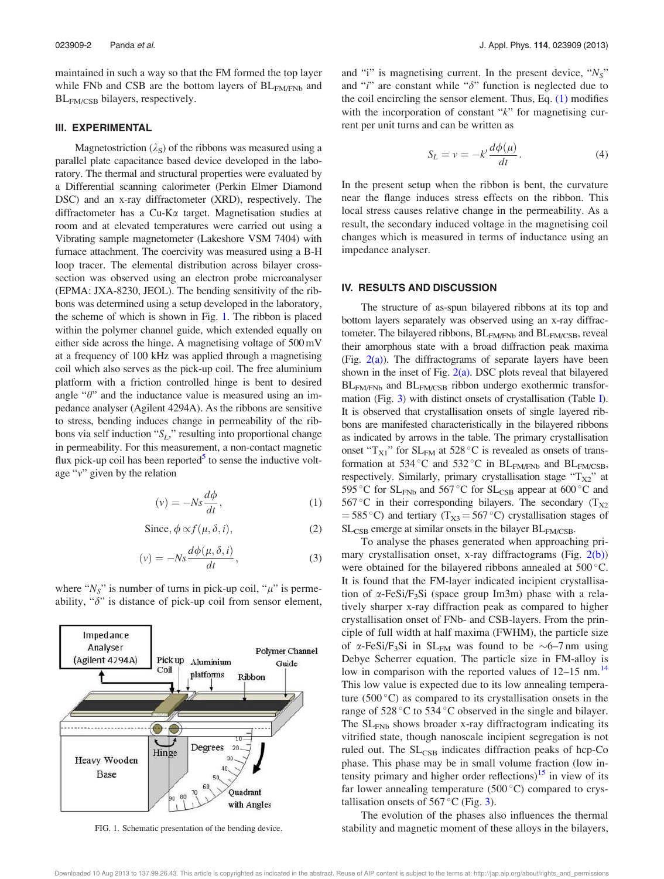maintained in such a way so that the FM formed the top layer while FNb and CSB are the bottom layers of  $BL_{FMRNb}$  and BL<sub>FM/CSB</sub> bilayers, respectively.

#### III. EXPERIMENTAL

Magnetostriction  $(\lambda_s)$  of the ribbons was measured using a parallel plate capacitance based device developed in the laboratory. The thermal and structural properties were evaluated by a Differential scanning calorimeter (Perkin Elmer Diamond DSC) and an x-ray diffractometer (XRD), respectively. The diffractometer has a Cu-Ka target. Magnetisation studies at room and at elevated temperatures were carried out using a Vibrating sample magnetometer (Lakeshore VSM 7404) with furnace attachment. The coercivity was measured using a B-H loop tracer. The elemental distribution across bilayer crosssection was observed using an electron probe microanalyser (EPMA: JXA-8230, JEOL). The bending sensitivity of the ribbons was determined using a setup developed in the laboratory, the scheme of which is shown in Fig. 1. The ribbon is placed within the polymer channel guide, which extended equally on either side across the hinge. A magnetising voltage of 500 mV at a frequency of 100 kHz was applied through a magnetising coil which also serves as the pick-up coil. The free aluminium platform with a friction controlled hinge is bent to desired angle " $\theta$ " and the inductance value is measured using an impedance analyser (Agilent 4294A). As the ribbons are sensitive to stress, bending induces change in permeability of the ribbons via self induction " $S_L$ ," resulting into proportional change in permeability. For this measurement, a non-contact magnetic flux pick-up coil has been reported<sup>5</sup> to sense the inductive voltage " $v$ " given by the relation

$$
(v) = -Ns \frac{d\phi}{dt},\tag{1}
$$

Since, 
$$
\phi \propto f(\mu, \delta, i)
$$
, (2)

$$
(\nu) = -Ns \frac{d\phi(\mu, \delta, i)}{dt},\tag{3}
$$

where " $N_S$ " is number of turns in pick-up coil, " $\mu$ " is permeability, " $\delta$ " is distance of pick-up coil from sensor element,



and "i" is magnetising current. In the present device, " $N_S$ " and " $i$ " are constant while " $\delta$ " function is neglected due to the coil encircling the sensor element. Thus, Eq.  $(1)$  modifies with the incorporation of constant "k" for magnetising current per unit turns and can be written as

$$
S_L = v = -k' \frac{d\phi(\mu)}{dt}.
$$
 (4)

In the present setup when the ribbon is bent, the curvature near the flange induces stress effects on the ribbon. This local stress causes relative change in the permeability. As a result, the secondary induced voltage in the magnetising coil changes which is measured in terms of inductance using an impedance analyser.

#### IV. RESULTS AND DISCUSSION

The structure of as-spun bilayered ribbons at its top and bottom layers separately was observed using an x-ray diffractometer. The bilayered ribbons,  $BL_{FMRNb}$  and  $BL_{FMCSB}$ , reveal their amorphous state with a broad diffraction peak maxima (Fig.  $2(a)$ ). The diffractograms of separate layers have been shown in the inset of Fig. 2(a). DSC plots reveal that bilayered BL<sub>FM/FNb</sub> and BL<sub>FM/CSB</sub> ribbon undergo exothermic transformation (Fig. 3) with distinct onsets of crystallisation (Table I). It is observed that crystallisation onsets of single layered ribbons are manifested characteristically in the bilayered ribbons as indicated by arrows in the table. The primary crystallisation onset " $T_{\text{X1}}$ " for  $SL_{FM}$  at 528 °C is revealed as onsets of transformation at 534 °C and 532 °C in BL<sub>FM/FNb</sub> and BL<sub>FM/CSB</sub>, respectively. Similarly, primary crystallisation stage " $T_{X2}$ " at 595 °C for  $SL_{\text{FNb}}$  and 567 °C for  $SL_{\text{CSB}}$  appear at 600 °C and 567 °C in their corresponding bilayers. The secondary  $(T_{X2})$  $=$  585 °C) and tertiary (T<sub>X3</sub> = 567 °C) crystallisation stages of  $SL<sub>CSB</sub>$  emerge at similar onsets in the bilayer  $BL<sub>FM/CSB</sub>$ .

To analyse the phases generated when approaching primary crystallisation onset, x-ray diffractograms (Fig. 2(b)) were obtained for the bilayered ribbons annealed at 500 °C. It is found that the FM-layer indicated incipient crystallisation of  $\alpha$ -FeSi/F<sub>3</sub>Si (space group Im3m) phase with a relatively sharper x-ray diffraction peak as compared to higher crystallisation onset of FNb- and CSB-layers. From the principle of full width at half maxima (FWHM), the particle size of  $\alpha$ -FeSi/F<sub>3</sub>Si in SL<sub>FM</sub> was found to be  $\sim$ 6–7 nm using Debye Scherrer equation. The particle size in FM-alloy is low in comparison with the reported values of 12–15 nm.<sup>14</sup> This low value is expected due to its low annealing temperature  $(500\degree C)$  as compared to its crystallisation onsets in the range of  $528 \degree C$  to  $534 \degree C$  observed in the single and bilayer. The SL<sub>FNb</sub> shows broader x-ray diffractogram indicating its vitrified state, though nanoscale incipient segregation is not ruled out. The  $SL_{CSB}$  indicates diffraction peaks of hcp-Co phase. This phase may be in small volume fraction (low intensity primary and higher order reflections)<sup>15</sup> in view of its far lower annealing temperature  $(500\degree C)$  compared to crystallisation onsets of 567 °C (Fig. 3).

The evolution of the phases also influences the thermal FIG. 1. Schematic presentation of the bending device. stability and magnetic moment of these alloys in the bilayers,

Downloaded 10 Aug 2013 to 137.99.26.43. This article is copyrighted as indicated in the abstract. Reuse of AIP content is subject to the terms at: http://jap.aip.org/about/rights\_and\_permissions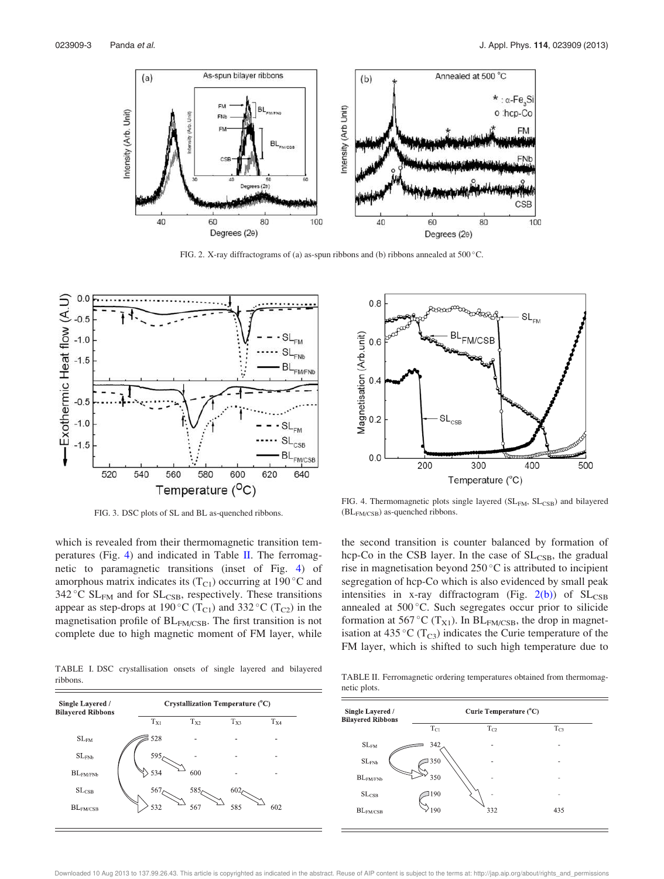

FIG. 2. X-ray diffractograms of (a) as-spun ribbons and (b) ribbons annealed at  $500^{\circ}$ C.



FIG. 3. DSC plots of SL and BL as-quenched ribbons.

which is revealed from their thermomagnetic transition temperatures (Fig. 4) and indicated in Table II. The ferromagnetic to paramagnetic transitions (inset of Fig. 4) of amorphous matrix indicates its  $(T_{C1})$  occurring at 190 °C and 342 °C  $SL<sub>FM</sub>$  and for  $SL<sub>CSB</sub>$ , respectively. These transitions appear as step-drops at 190 °C (T<sub>C1</sub>) and 332 °C (T<sub>C2</sub>) in the magnetisation profile of BL<sub>FM/CSB</sub>. The first transition is not complete due to high magnetic moment of FM layer, while

TABLE I. DSC crystallisation onsets of single layered and bilayered ribbons.





FIG. 4. Thermomagnetic plots single layered (SL<sub>FM</sub>, SL<sub>CSB</sub>) and bilayered (BLFM/CSB) as-quenched ribbons.

the second transition is counter balanced by formation of hcp-Co in the CSB layer. In the case of  $SL<sub>CSB</sub>$ , the gradual rise in magnetisation beyond  $250\,^{\circ}\text{C}$  is attributed to incipient segregation of hcp-Co which is also evidenced by small peak intensities in x-ray diffractogram (Fig.  $2(b)$ ) of  $SL_{CSB}$ annealed at 500°C. Such segregates occur prior to silicide formation at 567 °C ( $T_{X1}$ ). In BL<sub>FM/CSB</sub>, the drop in magnetisation at 435 °C ( $T_{C3}$ ) indicates the Curie temperature of the FM layer, which is shifted to such high temperature due to

TABLE II. Ferromagnetic ordering temperatures obtained from thermomagnetic plots.



Downloaded 10 Aug 2013 to 137.99.26.43. This article is copyrighted as indicated in the abstract. Reuse of AIP content is subject to the terms at: http://jap.aip.org/about/rights\_and\_permissions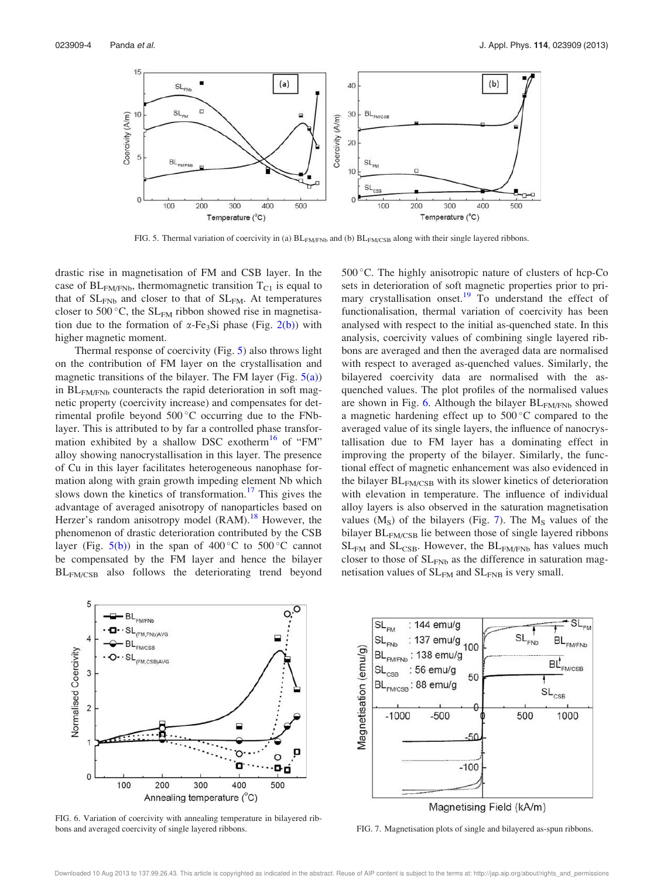

FIG. 5. Thermal variation of coercivity in (a) BL<sub>FM/FNb</sub> and (b) BL<sub>FM/CSB</sub> along with their single layered ribbons.

drastic rise in magnetisation of FM and CSB layer. In the case of  $BL_{FM/FNb}$ , thermomagnetic transition  $T_{C1}$  is equal to that of SL<sub>FNb</sub> and closer to that of SL<sub>FM</sub>. At temperatures closer to 500 °C, the  $SL<sub>FM</sub>$  ribbon showed rise in magnetisation due to the formation of  $\alpha$ -Fe<sub>3</sub>Si phase (Fig. 2(b)) with higher magnetic moment.

Thermal response of coercivity (Fig. 5) also throws light on the contribution of FM layer on the crystallisation and magnetic transitions of the bilayer. The FM layer (Fig.  $5(a)$ ) in BL<sub>FM/FNb</sub> counteracts the rapid deterioration in soft magnetic property (coercivity increase) and compensates for detrimental profile beyond  $500^{\circ}$ C occurring due to the FNblayer. This is attributed to by far a controlled phase transformation exhibited by a shallow DSC exotherm<sup>16</sup> of "FM" alloy showing nanocrystallisation in this layer. The presence of Cu in this layer facilitates heterogeneous nanophase formation along with grain growth impeding element Nb which slows down the kinetics of transformation.<sup>17</sup> This gives the advantage of averaged anisotropy of nanoparticles based on Herzer's random anisotropy model (RAM).<sup>18</sup> However, the phenomenon of drastic deterioration contributed by the CSB layer (Fig.  $5(b)$ ) in the span of 400 °C to 500 °C cannot be compensated by the FM layer and hence the bilayer BL<sub>FM/CSB</sub> also follows the deteriorating trend beyond  $500\,^{\circ}$ C. The highly anisotropic nature of clusters of hcp-Co sets in deterioration of soft magnetic properties prior to primary crystallisation onset. $^{19}$  To understand the effect of functionalisation, thermal variation of coercivity has been analysed with respect to the initial as-quenched state. In this analysis, coercivity values of combining single layered ribbons are averaged and then the averaged data are normalised with respect to averaged as-quenched values. Similarly, the bilayered coercivity data are normalised with the asquenched values. The plot profiles of the normalised values are shown in Fig. 6. Although the bilayer  $BL_{F M/FNb}$  showed a magnetic hardening effect up to  $500^{\circ}$ C compared to the averaged value of its single layers, the influence of nanocrystallisation due to FM layer has a dominating effect in improving the property of the bilayer. Similarly, the functional effect of magnetic enhancement was also evidenced in the bilayer BL<sub>FM/CSB</sub> with its slower kinetics of deterioration with elevation in temperature. The influence of individual alloy layers is also observed in the saturation magnetisation values  $(M<sub>S</sub>)$  of the bilayers (Fig. 7). The  $M<sub>S</sub>$  values of the bilayer BL<sub>FM/CSB</sub> lie between those of single layered ribbons  $SL<sub>FM</sub>$  and  $SL<sub>CSB</sub>$ . However, the  $BL<sub>FM/FNb</sub>$  has values much closer to those of  $SL<sub>FNb</sub>$  as the difference in saturation magnetisation values of SL<sub>FM</sub> and SL<sub>FNB</sub> is very small.



FIG. 6. Variation of coercivity with annealing temperature in bilayered ribbons and averaged coercivity of single layered ribbons. FIG. 7. Magnetisation plots of single and bilayered as-spun ribbons.



Magnetising Field (kA/m)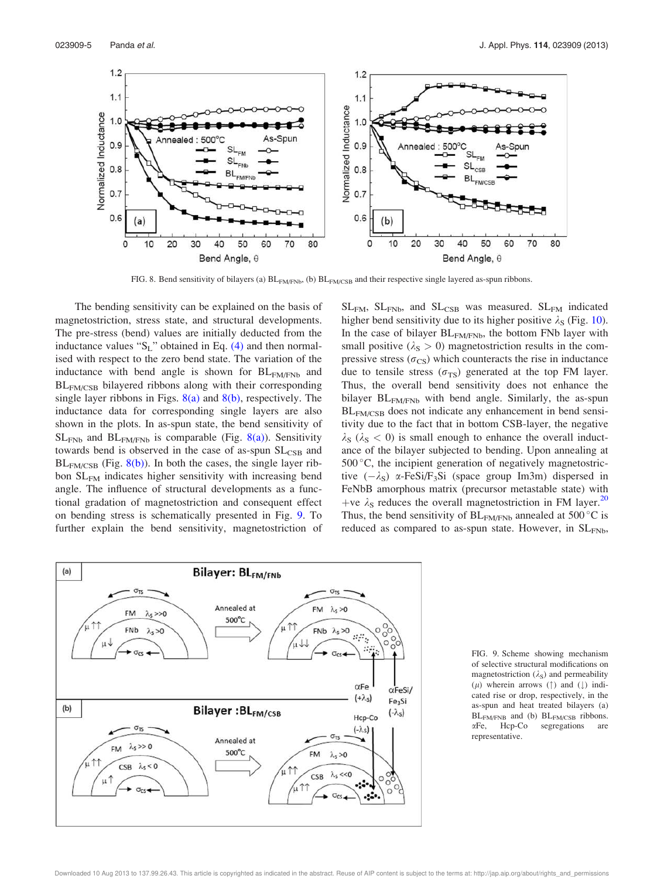

FIG. 8. Bend sensitivity of bilayers (a)  $BL_{FM/FNb}$ , (b)  $BL_{FM/CSB}$  and their respective single layered as-spun ribbons.

The bending sensitivity can be explained on the basis of magnetostriction, stress state, and structural developments. The pre-stress (bend) values are initially deducted from the inductance values " $S_L$ " obtained in Eq. (4) and then normalised with respect to the zero bend state. The variation of the inductance with bend angle is shown for BL<sub>FM/FNb</sub> and BL<sub>FM/CSB</sub> bilayered ribbons along with their corresponding single layer ribbons in Figs.  $8(a)$  and  $8(b)$ , respectively. The inductance data for corresponding single layers are also shown in the plots. In as-spun state, the bend sensitivity of  $SL<sub>FNb</sub>$  and  $BL<sub>FM/FNb</sub>$  is comparable (Fig. 8(a)). Sensitivity towards bend is observed in the case of as-spun  $SL<sub>CSB</sub>$  and  $BL_{FM/CSB}$  (Fig.  $8(b)$ ). In both the cases, the single layer ribbon SL<sub>FM</sub> indicates higher sensitivity with increasing bend angle. The influence of structural developments as a functional gradation of magnetostriction and consequent effect on bending stress is schematically presented in Fig. 9. To further explain the bend sensitivity, magnetostriction of  $SL<sub>FM</sub>$ ,  $SL<sub>FNb</sub>$ , and  $SL<sub>CSB</sub>$  was measured.  $SL<sub>FM</sub>$  indicated higher bend sensitivity due to its higher positive  $\lambda_s$  (Fig. 10). In the case of bilayer  $BL_{FMRNb}$ , the bottom FNb layer with small positive ( $\lambda$ <sub>S</sub> > 0) magnetostriction results in the compressive stress ( $\sigma_{CS}$ ) which counteracts the rise in inductance due to tensile stress ( $\sigma_{TS}$ ) generated at the top FM layer. Thus, the overall bend sensitivity does not enhance the bilayer  $BL_{FMRNb}$  with bend angle. Similarly, the as-spun BLFM/CSB does not indicate any enhancement in bend sensitivity due to the fact that in bottom CSB-layer, the negative  $\lambda_S$  ( $\lambda_S$  < 0) is small enough to enhance the overall inductance of the bilayer subjected to bending. Upon annealing at  $500^{\circ}$ C, the incipient generation of negatively magnetostrictive  $(-\lambda_s)$   $\alpha$ -FeSi/F<sub>3</sub>Si (space group Im3m) dispersed in FeNbB amorphous matrix (precursor metastable state) with +ve  $\lambda_s$  reduces the overall magnetostriction in FM layer.<sup>20</sup> Thus, the bend sensitivity of  $BL_{F M/FNb}$  annealed at 500 °C is reduced as compared to as-spun state. However, in SL<sub>FNb</sub>,



FIG. 9. Scheme showing mechanism of selective structural modifications on magnetostriction  $(\lambda_S)$  and permeability ( $\mu$ ) wherein arrows ( $\uparrow$ ) and ( $\downarrow$ ) indicated rise or drop, respectively, in the as-spun and heat treated bilayers (a)  $BL_{FM/FNB}$  and (b)  $BL_{FM/CSB}$  ribbons. aFe, Hcp-Co segregations are representative.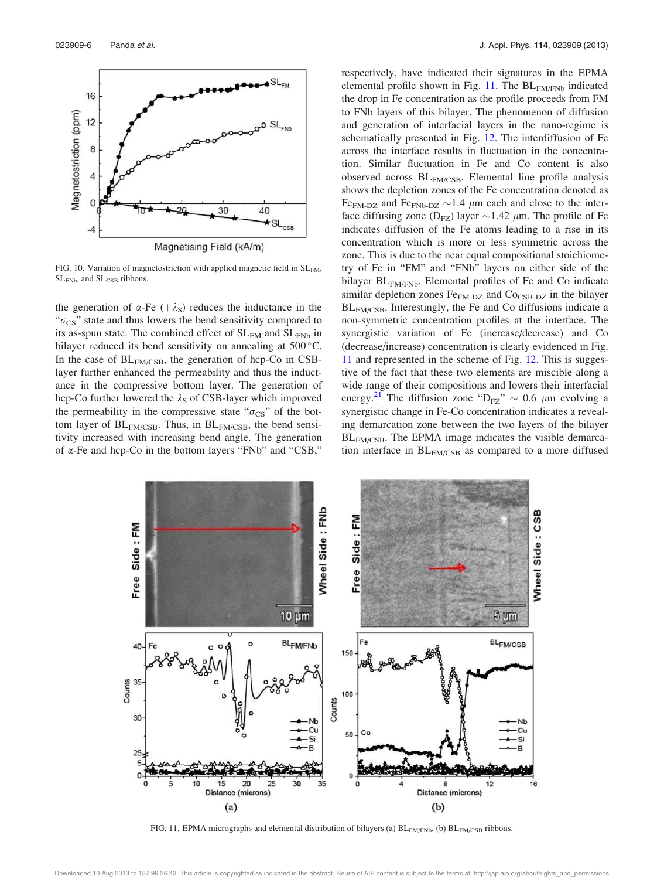

FIG. 10. Variation of magnetostriction with applied magnetic field in SL<sub>FM</sub>,  $SL<sub>FNb</sub>$ , and  $SL<sub>CSB</sub>$  ribbons.

the generation of  $\alpha$ -Fe  $(+\lambda_S)$  reduces the inductance in the " $\sigma_{CS}$ " state and thus lowers the bend sensitivity compared to its as-spun state. The combined effect of  $SL_{FM}$  and  $SL_{FNb}$  in bilayer reduced its bend sensitivity on annealing at  $500^{\circ}$ C. In the case of  $BL_{FM/CSB}$ , the generation of hcp-Co in CSBlayer further enhanced the permeability and thus the inductance in the compressive bottom layer. The generation of hcp-Co further lowered the  $\lambda_S$  of CSB-layer which improved the permeability in the compressive state " $\sigma_{CS}$ " of the bottom layer of  $BL_{FM/CSB}$ . Thus, in  $BL_{FM/CSB}$ , the bend sensitivity increased with increasing bend angle. The generation of a-Fe and hcp-Co in the bottom layers "FNb" and "CSB," respectively, have indicated their signatures in the EPMA elemental profile shown in Fig.  $11$ . The  $BL_{FMMFNb}$  indicated the drop in Fe concentration as the profile proceeds from FM to FNb layers of this bilayer. The phenomenon of diffusion and generation of interfacial layers in the nano-regime is schematically presented in Fig. 12. The interdiffusion of Fe across the interface results in fluctuation in the concentration. Similar fluctuation in Fe and Co content is also observed across BL<sub>FM/CSB</sub>. Elemental line profile analysis shows the depletion zones of the Fe concentration denoted as Fe<sub>FM-DZ</sub> and Fe<sub>FNb-DZ</sub>  $\sim$ 1.4  $\mu$ m each and close to the interface diffusing zone ( $D_{FZ}$ ) layer  $\sim$ 1.42  $\mu$ m. The profile of Fe indicates diffusion of the Fe atoms leading to a rise in its concentration which is more or less symmetric across the zone. This is due to the near equal compositional stoichiometry of Fe in "FM" and "FNb" layers on either side of the bilayer BL<sub>FM/FNb</sub>. Elemental profiles of Fe and Co indicate similar depletion zones Fe<sub>FM-DZ</sub> and Co<sub>CSB-DZ</sub> in the bilayer BL<sub>FM/CSB</sub>. Interestingly, the Fe and Co diffusions indicate a non-symmetric concentration profiles at the interface. The synergistic variation of Fe (increase/decrease) and Co (decrease/increase) concentration is clearly evidenced in Fig. 11 and represented in the scheme of Fig. 12. This is suggestive of the fact that these two elements are miscible along a wide range of their compositions and lowers their interfacial energy.<sup>21</sup> The diffusion zone "D<sub>FZ</sub>"  $\sim$  0.6  $\mu$ m evolving a synergistic change in Fe-Co concentration indicates a revealing demarcation zone between the two layers of the bilayer BL<sub>FM/CSB</sub>. The EPMA image indicates the visible demarcation interface in  $BL_{FM/CSB}$  as compared to a more diffused



FIG. 11. EPMA micrographs and elemental distribution of bilayers (a) BL<sub>FM/FNb</sub>, (b) BL<sub>FM/CSB</sub> ribbons.

Downloaded 10 Aug 2013 to 137.99.26.43. This article is copyrighted as indicated in the abstract. Reuse of AIP content is subject to the terms at: http://jap.aip.org/about/rights\_and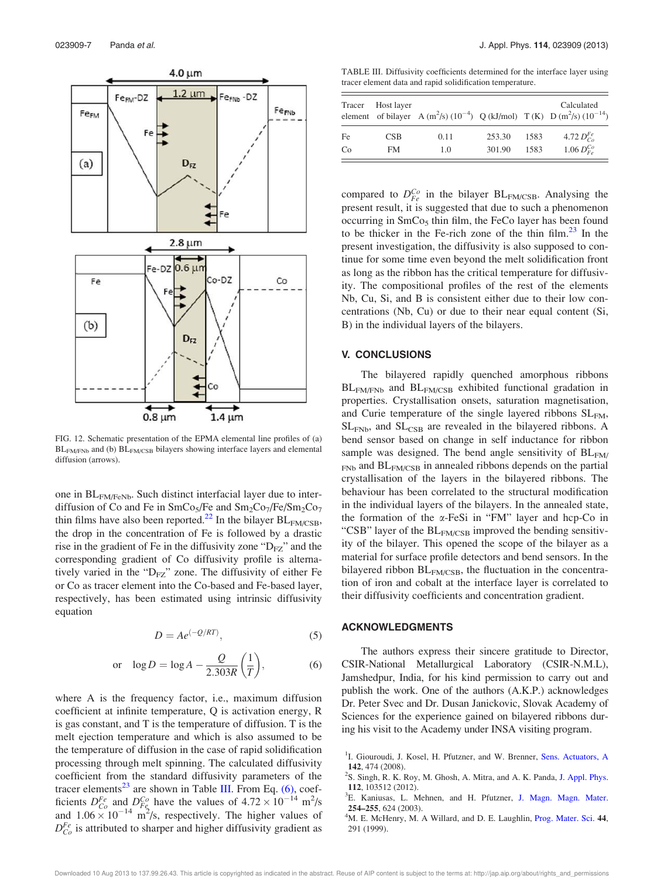

FIG. 12. Schematic presentation of the EPMA elemental line profiles of (a) BL<sub>FM/FNb</sub> and (b) BL<sub>FM/CSB</sub> bilayers showing interface layers and elemental diffusion (arrows).

one in  $BL_{FMIFeNb}$ . Such distinct interfacial layer due to interdiffusion of Co and Fe in  $SmCo<sub>5</sub>/Fe$  and  $Sm<sub>2</sub>Co<sub>7</sub>/Fe/Sm<sub>2</sub>Co<sub>7</sub>$ thin films have also been reported.<sup>22</sup> In the bilayer  $BL_{FM/CSB}$ , the drop in the concentration of Fe is followed by a drastic rise in the gradient of Fe in the diffusivity zone " $D_{FZ}$ " and the corresponding gradient of Co diffusivity profile is alternatively varied in the " $D_{FZ}$ " zone. The diffusivity of either Fe or Co as tracer element into the Co-based and Fe-based layer, respectively, has been estimated using intrinsic diffusivity equation

$$
D = Ae^{(-Q/RT)},
$$
 (5)

$$
\text{or} \quad \log D = \log A - \frac{Q}{2.303R} \left(\frac{1}{T}\right),\tag{6}
$$

where A is the frequency factor, i.e., maximum diffusion coefficient at infinite temperature, Q is activation energy, R is gas constant, and T is the temperature of diffusion. T is the melt ejection temperature and which is also assumed to be the temperature of diffusion in the case of rapid solidification processing through melt spinning. The calculated diffusivity coefficient from the standard diffusivity parameters of the tracer elements<sup>23</sup> are shown in Table III. From Eq.  $(6)$ , coefficients  $D_{Co}^{Fe}$  and  $D_{Fe}^{Co}$  have the values of 4.72  $\times 10^{-14}$  m<sup>2</sup>/s and  $1.06 \times 10^{-14}$  m<sup>2</sup>/s, respectively. The higher values of  $D_{Co}^{Fe}$  is attributed to sharper and higher diffusivity gradient as

TABLE III. Diffusivity coefficients determined for the interface layer using tracer element data and rapid solidification temperature.

| Tracer | Host layer |      |        |      | Calculated<br>element of bilayer A (m <sup>2</sup> /s) (10 <sup>-4</sup> ) Q (kJ/mol) T (K) D (m <sup>2</sup> /s) (10 <sup>-14</sup> ) |
|--------|------------|------|--------|------|----------------------------------------------------------------------------------------------------------------------------------------|
| Fe     | CSB        | 0.11 | 253.30 | 1583 | 4.72 $D_{C_0}^{Fe}$                                                                                                                    |
| Co     | FM         | 1.0  | 301.90 | 1583 | 1.06 $D_{Fe}^{Co}$                                                                                                                     |

compared to  $D_{Fe}^{Co}$  in the bilayer BL<sub>FM/CSB</sub>. Analysing the present result, it is suggested that due to such a phenomenon occurring in SmCo<sub>5</sub> thin film, the FeCo layer has been found to be thicker in the Fe-rich zone of the thin  $film.<sup>23</sup>$  In the present investigation, the diffusivity is also supposed to continue for some time even beyond the melt solidification front as long as the ribbon has the critical temperature for diffusivity. The compositional profiles of the rest of the elements Nb, Cu, Si, and B is consistent either due to their low concentrations (Nb, Cu) or due to their near equal content (Si, B) in the individual layers of the bilayers.

#### V. CONCLUSIONS

The bilayered rapidly quenched amorphous ribbons BL<sub>FM/FNb</sub> and BL<sub>FM/CSB</sub> exhibited functional gradation in properties. Crystallisation onsets, saturation magnetisation, and Curie temperature of the single layered ribbons  $SL_{FM}$ ,  $SL<sub>FNb</sub>$ , and  $SL<sub>CSB</sub>$  are revealed in the bilayered ribbons. A bend sensor based on change in self inductance for ribbon sample was designed. The bend angle sensitivity of  $BL_{FM}$ FNb and BLFM/CSB in annealed ribbons depends on the partial crystallisation of the layers in the bilayered ribbons. The behaviour has been correlated to the structural modification in the individual layers of the bilayers. In the annealed state, the formation of the  $\alpha$ -FeSi in "FM" layer and hcp-Co in "CSB" layer of the BL<sub>FM/CSB</sub> improved the bending sensitivity of the bilayer. This opened the scope of the bilayer as a material for surface profile detectors and bend sensors. In the bilayered ribbon  $BL_{FM/CSB}$ , the fluctuation in the concentration of iron and cobalt at the interface layer is correlated to their diffusivity coefficients and concentration gradient.

#### ACKNOWLEDGMENTS

The authors express their sincere gratitude to Director, CSIR-National Metallurgical Laboratory (CSIR-N.M.L), Jamshedpur, India, for his kind permission to carry out and publish the work. One of the authors (A.K.P.) acknowledges Dr. Peter Svec and Dr. Dusan Janickovic, Slovak Academy of Sciences for the experience gained on bilayered ribbons during his visit to the Academy under INSA visiting program.

- <sup>3</sup>E. Kaniusas, L. Mehnen, and H. Pfutzner, J. Magn. Magn. Mater. 254–255, 624 (2003).
- <sup>4</sup>M. E. McHenry, M. A Willard, and D. E. Laughlin, Prog. Mater. Sci. 44, 291 (1999).

<sup>&</sup>lt;sup>1</sup>I. Giouroudi, J. Kosel, H. Pfutzner, and W. Brenner, Sens. Actuators, A 142, 474 (2008).

<sup>&</sup>lt;sup>2</sup>S. Singh, R. K. Roy, M. Ghosh, A. Mitra, and A. K. Panda, J. Appl. Phys. 112, 103512 (2012).